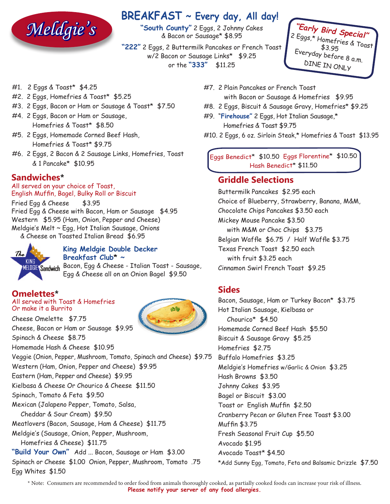

# **BREAKFAST ~ Every day, All day!**

**"South County"** 2 Eggs, 2 Johnny Cakes & Bacon or Sausage\* \$8.95

**"222"** 2 Eggs, 2 Buttermilk Pancakes or French Toast w/2 Bacon or Sausage Links\* \$9.25 or the **"333"** \$11.25



- #1. 2 Eggs & Toast\* \$4.25
- #2. 2 Eggs, Homefries & Toast\* \$5.25
- #3. 2 Eggs, Bacon or Ham or Sausage & Toast\* \$7.50
- #4. 2 Eggs, Bacon or Ham or Sausage, Homefries & Toast\* \$8.50
- #5. 2 Eggs, Homemade Corned Beef Hash, Homefries & Toast\* \$9.75
- #6. 2 Eggs, 2 Bacon & 2 Sausage Links, Homefries, Toast & 1 Pancake\* \$10.95

## **Sandwiches\***

All served on your choice of Toast, English Muffin, Bagel, Bulky Roll or Biscuit

Fried Egg & Cheese \$3.95 Fried Egg & Cheese with Bacon, Ham or Sausage \$4.95 Western \$5.95 (Ham, Onion, Pepper and Cheese) Meldgie's Melt ~ Egg, Hot Italian Sausage, Onions & Cheese on Toasted Italian Bread \$6.95



#### **King Meldgie Double Decker Breakfast Club\* ~**

MilDBIE Sandwich Bacon, Egg & Cheese - Italian Toast - Sausage, Egg & Cheese all on an Onion Bagel \$9.50

## **Omelettes\***

#### All served with Toast & Homefries Or make it a Burrito

Cheese Omelette \$7.75 Cheese, Bacon or Ham or Sausage \$9.95 Spinach & Cheese \$8.75 Homemade Hash & Cheese \$10.95 Veggie (Onion, Pepper, Mushroom, Tomato, Spinach and Cheese) \$9.75 Western (Ham, Onion, Pepper and Cheese) \$9.95 Eastern (Ham, Pepper and Cheese) \$9.95 Kielbasa & Cheese Or Chourico & Cheese \$11.50 Spinach, Tomato & Feta \$9.50 Mexican (Jalapeno Pepper, Tomato, Salsa, Cheddar & Sour Cream) \$9.50 Meatlovers (Bacon, Sausage, Ham & Cheese) \$11.75 Meldgie's (Sausage, Onion, Pepper, Mushroom, Homefries & Cheese) \$11.75 **"Build Your Own"** Add ... Bacon, Sausage or Ham \$3.00 Spinach or Cheese \$1.00 Onion, Pepper, Mushroom, Tomato .75 Egg Whites \$1.50

- #7. 2 Plain Pancakes or French Toast with Bacon or Sausage & Homefries \$9.95
- #8. 2 Eggs, Biscuit & Sausage Gravy, Homefries\* \$9.25
- #9. "**Firehouse"** 2 Eggs, Hot Italian Sausage,\* Homefries & Toast \$9.75
- #10. 2 Eggs, 6 oz. Sirloin Steak,\* Homefries & Toast \$13.95

Eggs Benedict\* \$10.50 Eggs Florentine\* \$10.50 Hash Benedict\* \$11.50

#### **Griddle Selections**

Buttermilk Pancakes \$2.95 each Choice of Blueberry, Strawberry, Banana, M&M, Chocolate Chips Pancakes \$3.50 each Mickey Mouse Pancake \$3.50 with M&M or Choc Chips \$3.75 Belgian Waffle \$6.75 / Half Waffle \$3.75 Texas French Toast \$2.50 each with fruit \$3.25 each Cinnamon Swirl French Toast \$9.25

## **Sides**

Bacon, Sausage, Ham or Turkey Bacon\* \$3.75 Hot Italian Sausage, Kielbasa or Chourico\* \$4.50 Homemade Corned Beef Hash \$5.50 Biscuit & Sausage Gravy \$5.25 Homefries \$2.75 Buffalo Homefries \$3.25 Meldgie's Homefries w/Garlic & Onion \$3.25 Hash Browns \$3.50 Johnny Cakes \$3.95 Bagel or Biscuit \$3.00 Toast or English Muffin \$2.50 Cranberry Pecan or Gluten Free Toast \$3.00 Muffin \$3.75 Fresh Seasonal Fruit Cup \$5.50 Avocado \$1.95 Avocado Toast\* \$4.50 \*Add Sunny Egg, Tomato, Feta and Balsamic Drizzle \$7.50

\* Note: Consumers are recommended to order food from animals thoroughly cooked, as partially cooked foods can increase your risk of illness. **Please notify your server of any food allergies.**